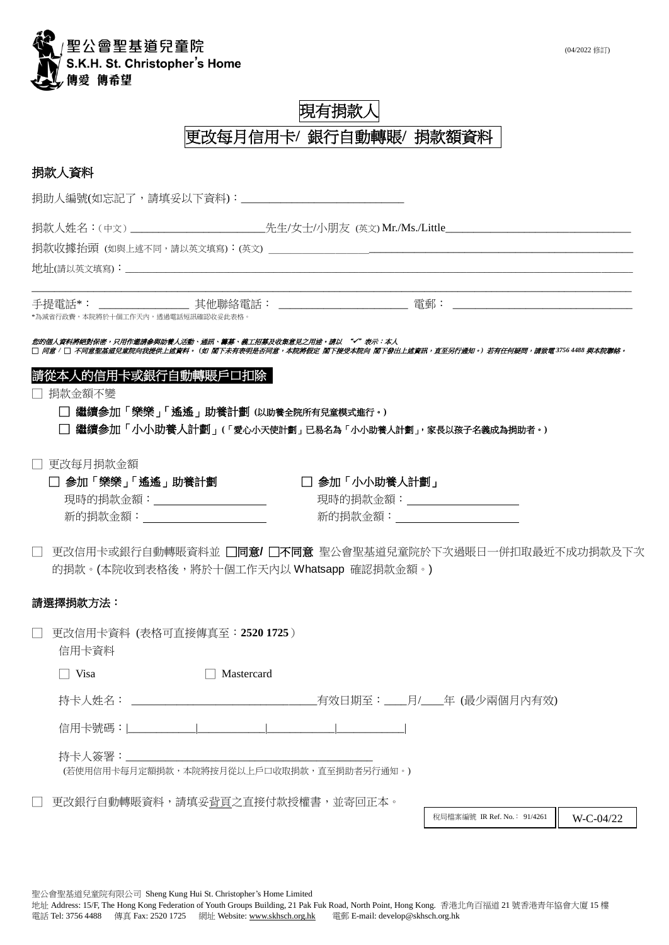

# 現有捐款人 更改每月信用卡**/** 銀行自動轉賬**/** 捐款額資料

## 捐款人資料

捐助人編號(如忘記了,請填妥以下資料):\_\_\_\_\_\_\_\_\_\_\_\_\_

捐款人姓名:(中文)\_\_\_\_\_\_\_\_\_\_\_\_\_\_\_\_\_\_\_\_\_\_\_\_\_\_\_\_\_\_\_\_\_\_先生/女士/小朋友 (英文) Mr./Ms./Little\_\_\_\_\_\_\_\_

捐款收據抬頭 (如與上述不同,請以英文填寫):(英文)

地址(請以英文填寫):

手提電話\*: \_\_\_\_\_\_\_\_\_\_\_\_\_\_\_\_ 其他聯絡電話: \_\_\_\_\_\_\_\_\_\_\_\_\_\_\_\_\_\_\_\_\_\_\_ 電郵: \_\_\_\_\_\_\_\_\_\_\_\_\_\_\_\_\_\_\_\_\_\_\_\_\_\_\_\_\_\_\_\_ \*為減省行政費,本院將於十個工作天內,透過電話短訊確認收妥此表格。

您的個人資料將絕對保密,只用作邀請参與助養人活動、通訊、籌募、義工招募及收集意見之用途。請以 "√"表示:本人<br>□ 同意 / □ 不同意聖基道兒童院向我提供上述資料。 (如 閣下未有表明是否同意,本院將假定 閣下接受本院向 閣下發出上述資訊,直至另行通知。) 若有任何疑問,請致電 3756 4488 與本院聯絡。

\_\_\_\_\_\_\_\_\_\_\_\_\_\_\_\_\_\_\_\_\_\_\_\_\_\_\_\_\_\_\_\_\_\_\_\_\_\_\_\_\_\_\_\_\_\_\_\_\_\_\_\_\_\_\_\_\_\_\_\_\_\_\_\_\_\_\_\_\_\_\_\_\_\_\_\_\_\_\_\_\_\_\_\_\_\_\_\_\_\_\_\_\_\_\_\_\_\_\_\_\_\_\_\_\_\_\_

### 請從本人的信用卡或銀行自動轉賬戶口扣除

□ 捐款金額不變

□ 繼續參加「樂樂」「遙遙」助養計劃 **(**以助養全院所有兒童模式進行。**)**

□ 繼續參加「小小助養人計劃」**(**「愛心小天使計劃」已易名為「小小助養人計劃」,家長以孩子名義成為捐助者。**)**

□ 更改每月捐款金額

| □ 参加「樂樂」「遙遙」助養計劃 | □ 参加「小小助養人計劃」 |
|------------------|---------------|
| 現時的捐款金額:         | 現時的捐款金額:      |
| 新的捐款金額:          | 新的捐款金額:       |

□ 更改信用卡或銀行自動轉賬資料並 □同意**/** □不同意 聖公會聖基道兒童院於下次過賬日一併扣取最近不成功捐款及下次 的捐款。(本院收到表格後,將於十個工作天內以 Whatsapp 確認捐款金額。)

#### 請選擇捐款方法:

□ 更改信用卡資料 (表格可直接傳真至:**2520 1725**) 信用卡資料

□ Visa □ Mastercard

持卡人姓名: \_\_\_\_\_\_\_\_\_\_\_\_\_\_\_\_\_\_\_\_\_\_\_\_\_\_\_\_\_\_\_\_\_有效日期至:\_\_\_\_月/\_\_\_\_年 (最少兩個月內有效)

信用卡號碼:|\_\_\_\_\_\_\_\_\_\_\_\_|\_\_\_\_\_\_\_\_\_\_\_\_|\_\_\_\_\_\_\_\_\_\_\_\_|\_\_\_\_\_\_\_\_\_\_\_\_|

持卡人簽署:

(若使用信用卡每月定額捐款,本院將按月從以上戶口收取捐款,直至捐助者另行通知。)

□ 更改銀行自動轉賬資料,請填妥背頁之直接付款授權書,並寄回正本。

稅局檔案編號 IR Ref. No.: 91/4261 | W-C-04/22